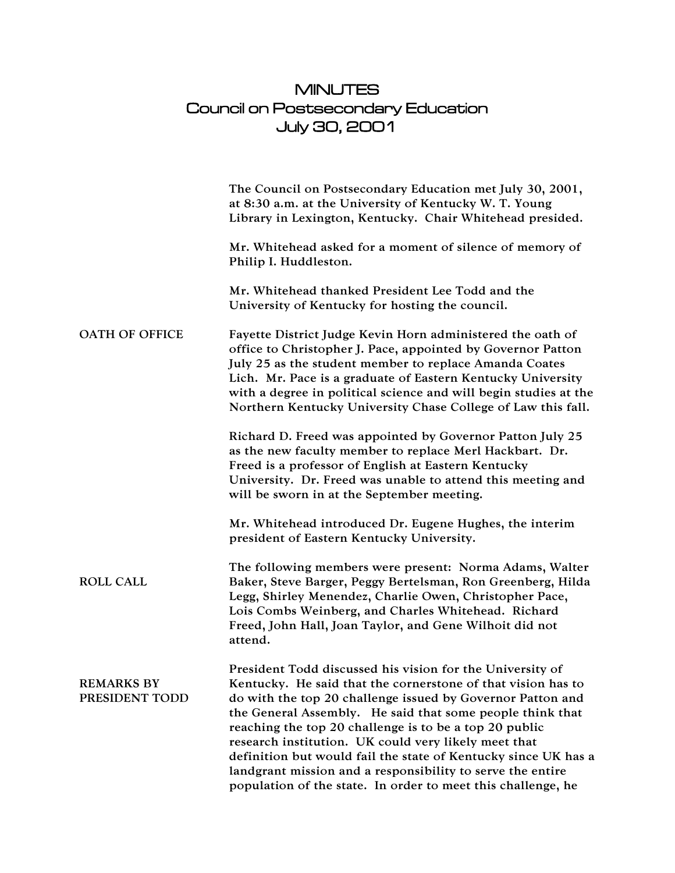## MINUTES Council on Postsecondary Education July 30, 2001

|                                     | The Council on Postsecondary Education met July 30, 2001,<br>at 8:30 a.m. at the University of Kentucky W. T. Young<br>Library in Lexington, Kentucky. Chair Whitehead presided.                                                                                                                                                                                                                                                                                                                                                                                       |
|-------------------------------------|------------------------------------------------------------------------------------------------------------------------------------------------------------------------------------------------------------------------------------------------------------------------------------------------------------------------------------------------------------------------------------------------------------------------------------------------------------------------------------------------------------------------------------------------------------------------|
|                                     | Mr. Whitehead asked for a moment of silence of memory of<br>Philip I. Huddleston.                                                                                                                                                                                                                                                                                                                                                                                                                                                                                      |
|                                     | Mr. Whitehead thanked President Lee Todd and the<br>University of Kentucky for hosting the council.                                                                                                                                                                                                                                                                                                                                                                                                                                                                    |
| <b>OATH OF OFFICE</b>               | Fayette District Judge Kevin Horn administered the oath of<br>office to Christopher J. Pace, appointed by Governor Patton<br>July 25 as the student member to replace Amanda Coates<br>Lich. Mr. Pace is a graduate of Eastern Kentucky University<br>with a degree in political science and will begin studies at the<br>Northern Kentucky University Chase College of Law this fall.                                                                                                                                                                                 |
|                                     | Richard D. Freed was appointed by Governor Patton July 25<br>as the new faculty member to replace Merl Hackbart. Dr.<br>Freed is a professor of English at Eastern Kentucky<br>University. Dr. Freed was unable to attend this meeting and<br>will be sworn in at the September meeting.                                                                                                                                                                                                                                                                               |
|                                     | Mr. Whitehead introduced Dr. Eugene Hughes, the interim<br>president of Eastern Kentucky University.                                                                                                                                                                                                                                                                                                                                                                                                                                                                   |
| <b>ROLL CALL</b>                    | The following members were present: Norma Adams, Walter<br>Baker, Steve Barger, Peggy Bertelsman, Ron Greenberg, Hilda<br>Legg, Shirley Menendez, Charlie Owen, Christopher Pace,<br>Lois Combs Weinberg, and Charles Whitehead. Richard<br>Freed, John Hall, Joan Taylor, and Gene Wilhoit did not<br>attend.                                                                                                                                                                                                                                                         |
| <b>REMARKS BY</b><br>PRESIDENT TODD | President Todd discussed his vision for the University of<br>Kentucky. He said that the cornerstone of that vision has to<br>do with the top 20 challenge issued by Governor Patton and<br>the General Assembly. He said that some people think that<br>reaching the top 20 challenge is to be a top 20 public<br>research institution. UK could very likely meet that<br>definition but would fail the state of Kentucky since UK has a<br>landgrant mission and a responsibility to serve the entire<br>population of the state. In order to meet this challenge, he |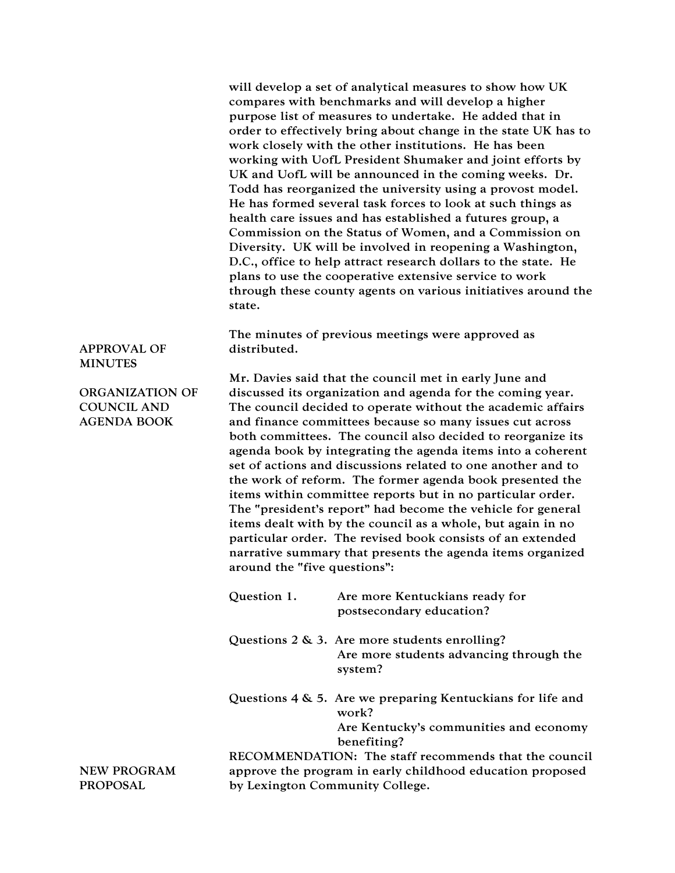will develop a set of analytical measures to show how UK compares with benchmarks and will develop a higher purpose list of measures to undertake. He added that in order to effectively bring about change in the state UK has to work closely with the other institutions. He has been working with UofL President Shumaker and joint efforts by UK and UofL will be announced in the coming weeks. Dr. Todd has reorganized the university using a provost model. He has formed several task forces to look at such things as health care issues and has established a futures group, a Commission on the Status of Women, and a Commission on Diversity. UK will be involved in reopening a Washington, D.C., office to help attract research dollars to the state. He plans to use the cooperative extensive service to work through these county agents on various initiatives around the state.

The minutes of previous meetings were approved as distributed.

APPROVAL OF MINUTES

ORGANIZATION OF COUNCIL AND AGENDA BOOK

Mr. Davies said that the council met in early June and discussed its organization and agenda for the coming year. The council decided to operate without the academic affairs and finance committees because so many issues cut across both committees. The council also decided to reorganize its agenda book by integrating the agenda items into a coherent set of actions and discussions related to one another and to the work of reform. The former agenda book presented the items within committee reports but in no particular order. The "president's report" had become the vehicle for general items dealt with by the council as a whole, but again in no particular order. The revised book consists of an extended narrative summary that presents the agenda items organized around the "five questions":

- Question 1. Are more Kentuckians ready for postsecondary education?
- Questions 2 & 3. Are more students enrolling? Are more students advancing through the system?
- Questions 4 & 5. Are we preparing Kentuckians for life and work? Are Kentucky's communities and economy

benefiting? RECOMMENDATION: The staff recommends that the council approve the program in early childhood education proposed by Lexington Community College.

NEW PROGRAM PROPOSAL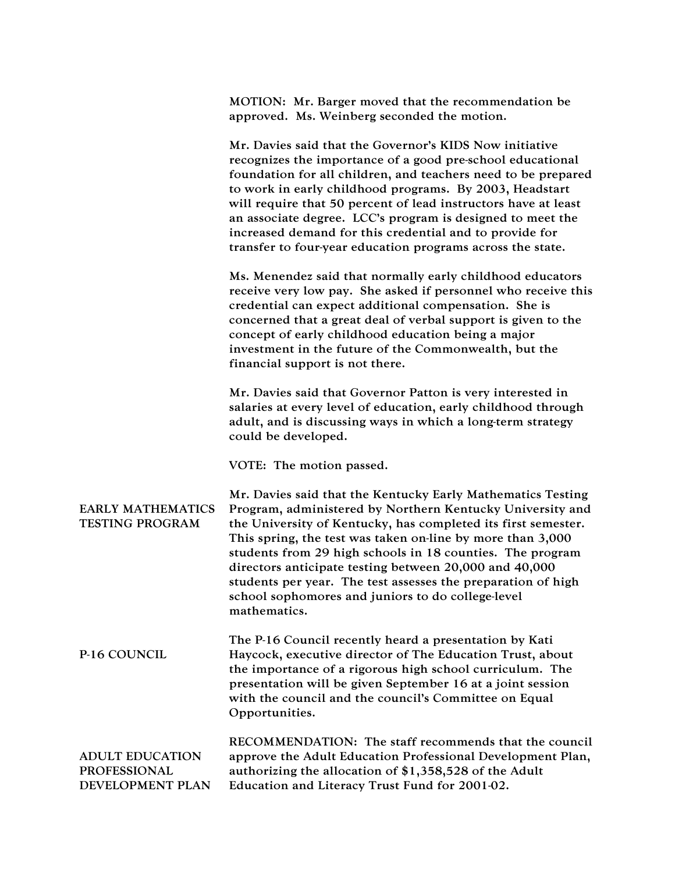|                                                                   | MOTION: Mr. Barger moved that the recommendation be<br>approved. Ms. Weinberg seconded the motion.                                                                                                                                                                                                                                                                                                                                                                                                                  |
|-------------------------------------------------------------------|---------------------------------------------------------------------------------------------------------------------------------------------------------------------------------------------------------------------------------------------------------------------------------------------------------------------------------------------------------------------------------------------------------------------------------------------------------------------------------------------------------------------|
|                                                                   | Mr. Davies said that the Governor's KIDS Now initiative<br>recognizes the importance of a good pre-school educational<br>foundation for all children, and teachers need to be prepared<br>to work in early childhood programs. By 2003, Headstart<br>will require that 50 percent of lead instructors have at least<br>an associate degree. LCC's program is designed to meet the<br>increased demand for this credential and to provide for<br>transfer to four-year education programs across the state.          |
|                                                                   | Ms. Menendez said that normally early childhood educators<br>receive very low pay. She asked if personnel who receive this<br>credential can expect additional compensation. She is<br>concerned that a great deal of verbal support is given to the<br>concept of early childhood education being a major<br>investment in the future of the Commonwealth, but the<br>financial support is not there.                                                                                                              |
|                                                                   | Mr. Davies said that Governor Patton is very interested in<br>salaries at every level of education, early childhood through<br>adult, and is discussing ways in which a long-term strategy<br>could be developed.                                                                                                                                                                                                                                                                                                   |
|                                                                   | VOTE: The motion passed.                                                                                                                                                                                                                                                                                                                                                                                                                                                                                            |
| <b>EARLY MATHEMATICS</b><br>TESTING PROGRAM                       | Mr. Davies said that the Kentucky Early Mathematics Testing<br>Program, administered by Northern Kentucky University and<br>the University of Kentucky, has completed its first semester.<br>This spring, the test was taken on-line by more than 3,000<br>students from 29 high schools in 18 counties. The program<br>directors anticipate testing between 20,000 and 40,000<br>students per year. The test assesses the preparation of high<br>school sophomores and juniors to do college-level<br>mathematics. |
| P-16 COUNCIL                                                      | The P-16 Council recently heard a presentation by Kati<br>Haycock, executive director of The Education Trust, about<br>the importance of a rigorous high school curriculum. The<br>presentation will be given September 16 at a joint session<br>with the council and the council's Committee on Equal<br>Opportunities.                                                                                                                                                                                            |
| <b>ADULT EDUCATION</b><br><b>PROFESSIONAL</b><br>DEVELOPMENT PLAN | RECOMMENDATION: The staff recommends that the council<br>approve the Adult Education Professional Development Plan,<br>authorizing the allocation of \$1,358,528 of the Adult<br>Education and Literacy Trust Fund for 2001-02.                                                                                                                                                                                                                                                                                     |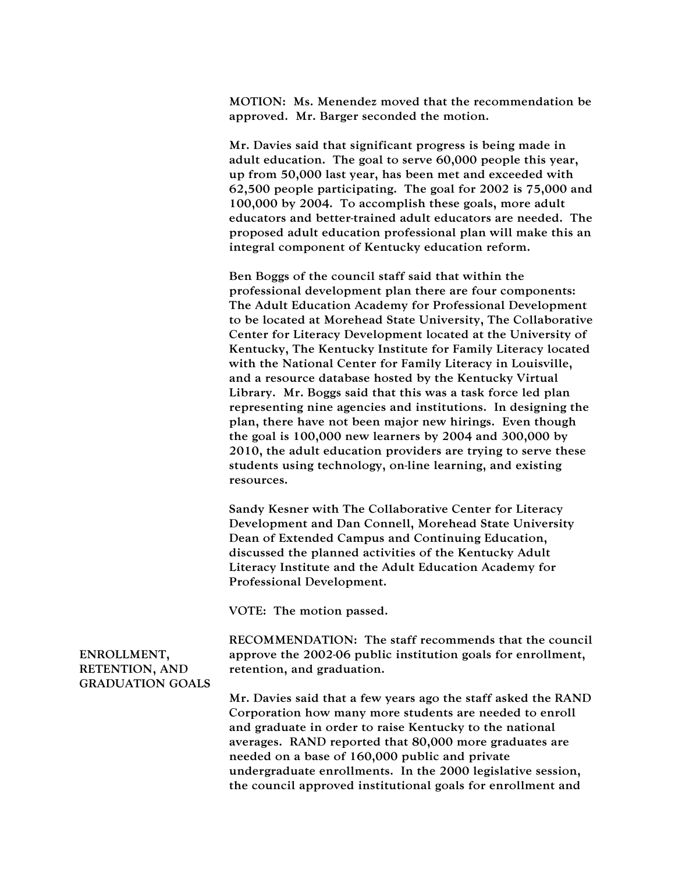MOTION: Ms. Menendez moved that the recommendation be approved. Mr. Barger seconded the motion.

Mr. Davies said that significant progress is being made in adult education. The goal to serve 60,000 people this year, up from 50,000 last year, has been met and exceeded with 62,500 people participating. The goal for 2002 is 75,000 and 100,000 by 2004. To accomplish these goals, more adult educators and better-trained adult educators are needed. The proposed adult education professional plan will make this an integral component of Kentucky education reform.

Ben Boggs of the council staff said that within the professional development plan there are four components: The Adult Education Academy for Professional Development to be located at Morehead State University, The Collaborative Center for Literacy Development located at the University of Kentucky, The Kentucky Institute for Family Literacy located with the National Center for Family Literacy in Louisville, and a resource database hosted by the Kentucky Virtual Library. Mr. Boggs said that this was a task force led plan representing nine agencies and institutions. In designing the plan, there have not been major new hirings. Even though the goal is 100,000 new learners by 2004 and 300,000 by 2010, the adult education providers are trying to serve these students using technology, on-line learning, and existing resources.

Sandy Kesner with The Collaborative Center for Literacy Development and Dan Connell, Morehead State University Dean of Extended Campus and Continuing Education, discussed the planned activities of the Kentucky Adult Literacy Institute and the Adult Education Academy for Professional Development.

VOTE: The motion passed.

ENROLLMENT, RETENTION, AND GRADUATION GOALS RECOMMENDATION: The staff recommends that the council approve the 2002-06 public institution goals for enrollment, retention, and graduation.

Mr. Davies said that a few years ago the staff asked the RAND Corporation how many more students are needed to enroll and graduate in order to raise Kentucky to the national averages. RAND reported that 80,000 more graduates are needed on a base of 160,000 public and private undergraduate enrollments. In the 2000 legislative session, the council approved institutional goals for enrollment and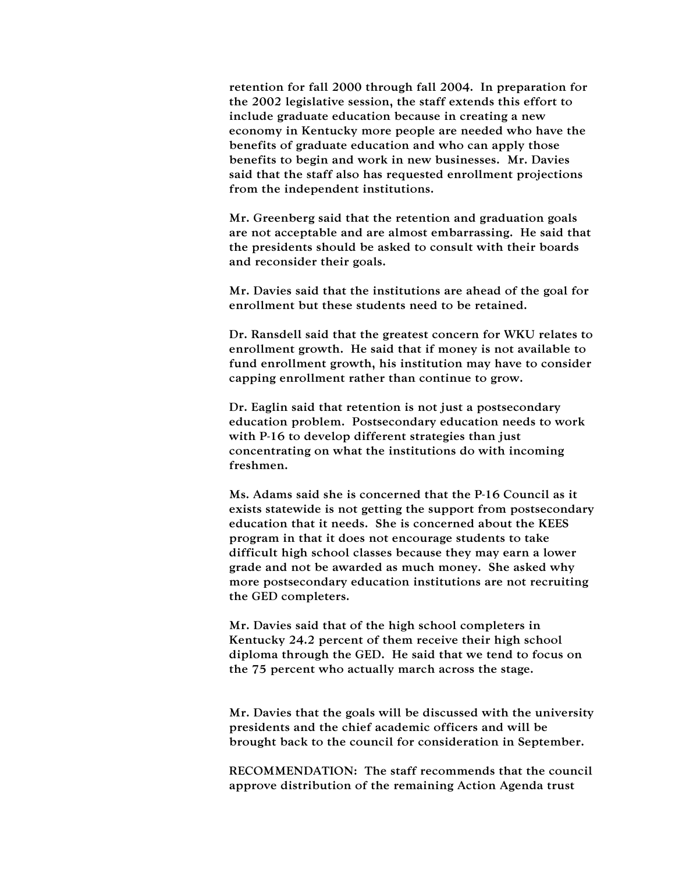retention for fall 2000 through fall 2004. In preparation for the 2002 legislative session, the staff extends this effort to include graduate education because in creating a new economy in Kentucky more people are needed who have the benefits of graduate education and who can apply those benefits to begin and work in new businesses. Mr. Davies said that the staff also has requested enrollment projections from the independent institutions.

Mr. Greenberg said that the retention and graduation goals are not acceptable and are almost embarrassing. He said that the presidents should be asked to consult with their boards and reconsider their goals.

Mr. Davies said that the institutions are ahead of the goal for enrollment but these students need to be retained.

Dr. Ransdell said that the greatest concern for WKU relates to enrollment growth. He said that if money is not available to fund enrollment growth, his institution may have to consider capping enrollment rather than continue to grow.

Dr. Eaglin said that retention is not just a postsecondary education problem. Postsecondary education needs to work with P-16 to develop different strategies than just concentrating on what the institutions do with incoming freshmen.

Ms. Adams said she is concerned that the P-16 Council as it exists statewide is not getting the support from postsecondary education that it needs. She is concerned about the KEES program in that it does not encourage students to take difficult high school classes because they may earn a lower grade and not be awarded as much money. She asked why more postsecondary education institutions are not recruiting the GED completers.

Mr. Davies said that of the high school completers in Kentucky 24.2 percent of them receive their high school diploma through the GED. He said that we tend to focus on the 75 percent who actually march across the stage.

Mr. Davies that the goals will be discussed with the university presidents and the chief academic officers and will be brought back to the council for consideration in September.

RECOMMENDATION: The staff recommends that the council approve distribution of the remaining Action Agenda trust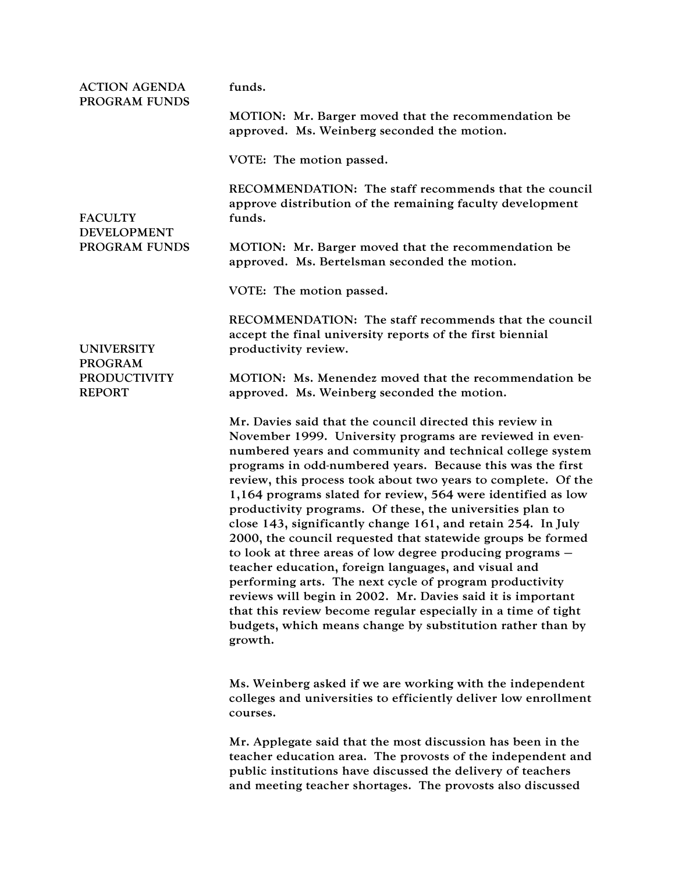| <b>ACTION AGENDA</b><br>PROGRAM FUNDS<br><b>FACULTY</b><br><b>DEVELOPMENT</b><br>PROGRAM FUNDS | funds.                                                                                                                                                                                                                                                                                                                                                                                                                                                                                                                                                                                                                                                                                                                                                                                                                                                                                                                                                                  |
|------------------------------------------------------------------------------------------------|-------------------------------------------------------------------------------------------------------------------------------------------------------------------------------------------------------------------------------------------------------------------------------------------------------------------------------------------------------------------------------------------------------------------------------------------------------------------------------------------------------------------------------------------------------------------------------------------------------------------------------------------------------------------------------------------------------------------------------------------------------------------------------------------------------------------------------------------------------------------------------------------------------------------------------------------------------------------------|
|                                                                                                | MOTION: Mr. Barger moved that the recommendation be<br>approved. Ms. Weinberg seconded the motion.                                                                                                                                                                                                                                                                                                                                                                                                                                                                                                                                                                                                                                                                                                                                                                                                                                                                      |
|                                                                                                | VOTE: The motion passed.                                                                                                                                                                                                                                                                                                                                                                                                                                                                                                                                                                                                                                                                                                                                                                                                                                                                                                                                                |
|                                                                                                | RECOMMENDATION: The staff recommends that the council<br>approve distribution of the remaining faculty development<br>funds.                                                                                                                                                                                                                                                                                                                                                                                                                                                                                                                                                                                                                                                                                                                                                                                                                                            |
|                                                                                                | MOTION: Mr. Barger moved that the recommendation be<br>approved. Ms. Bertelsman seconded the motion.                                                                                                                                                                                                                                                                                                                                                                                                                                                                                                                                                                                                                                                                                                                                                                                                                                                                    |
|                                                                                                | VOTE: The motion passed.                                                                                                                                                                                                                                                                                                                                                                                                                                                                                                                                                                                                                                                                                                                                                                                                                                                                                                                                                |
| <b>UNIVERSITY</b><br><b>PROGRAM</b><br><b>PRODUCTIVITY</b><br><b>REPORT</b>                    | RECOMMENDATION: The staff recommends that the council<br>accept the final university reports of the first biennial<br>productivity review.                                                                                                                                                                                                                                                                                                                                                                                                                                                                                                                                                                                                                                                                                                                                                                                                                              |
|                                                                                                | MOTION: Ms. Menendez moved that the recommendation be<br>approved. Ms. Weinberg seconded the motion.                                                                                                                                                                                                                                                                                                                                                                                                                                                                                                                                                                                                                                                                                                                                                                                                                                                                    |
|                                                                                                | Mr. Davies said that the council directed this review in<br>November 1999. University programs are reviewed in even-<br>numbered years and community and technical college system<br>programs in odd-numbered years. Because this was the first<br>review, this process took about two years to complete. Of the<br>1,164 programs slated for review, 564 were identified as low<br>productivity programs. Of these, the universities plan to<br>close 143, significantly change 161, and retain 254. In July<br>2000, the council requested that statewide groups be formed<br>to look at three areas of low degree producing programs $-$<br>teacher education, foreign languages, and visual and<br>performing arts. The next cycle of program productivity<br>reviews will begin in 2002. Mr. Davies said it is important<br>that this review become regular especially in a time of tight<br>budgets, which means change by substitution rather than by<br>growth. |
|                                                                                                | Ms. Weinberg asked if we are working with the independent<br>colleges and universities to efficiently deliver low enrollment<br>courses.                                                                                                                                                                                                                                                                                                                                                                                                                                                                                                                                                                                                                                                                                                                                                                                                                                |
|                                                                                                | Mr. Applegate said that the most discussion has been in the<br>teacher education area. The provosts of the independent and<br>public institutions have discussed the delivery of teachers<br>and meeting teacher shortages. The provosts also discussed                                                                                                                                                                                                                                                                                                                                                                                                                                                                                                                                                                                                                                                                                                                 |
|                                                                                                |                                                                                                                                                                                                                                                                                                                                                                                                                                                                                                                                                                                                                                                                                                                                                                                                                                                                                                                                                                         |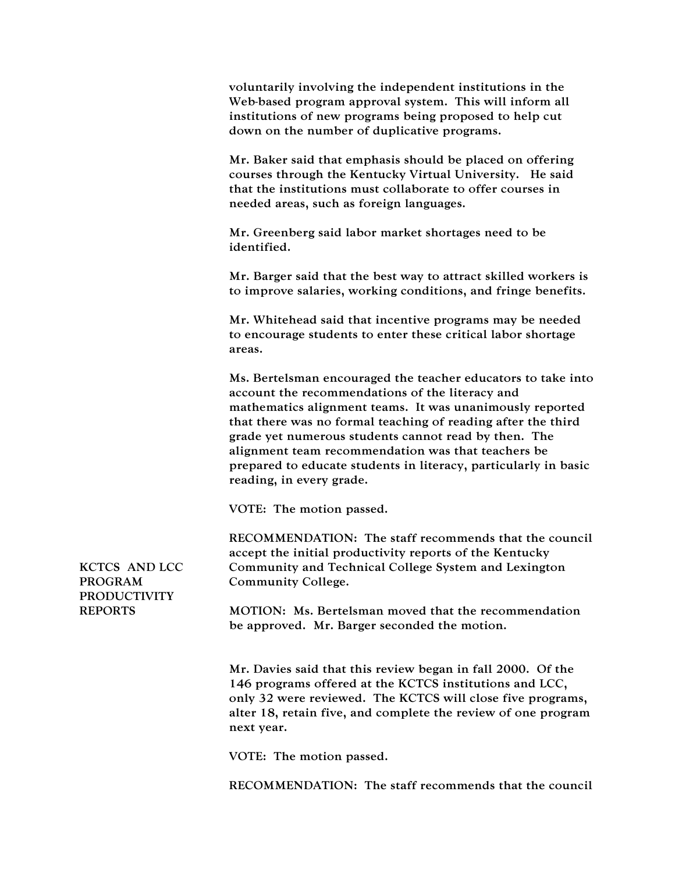voluntarily involving the independent institutions in the Web-based program approval system. This will inform all institutions of new programs being proposed to help cut down on the number of duplicative programs.

Mr. Baker said that emphasis should be placed on offering courses through the Kentucky Virtual University. He said that the institutions must collaborate to offer courses in needed areas, such as foreign languages.

Mr. Greenberg said labor market shortages need to be identified.

Mr. Barger said that the best way to attract skilled workers is to improve salaries, working conditions, and fringe benefits.

Mr. Whitehead said that incentive programs may be needed to encourage students to enter these critical labor shortage areas.

Ms. Bertelsman encouraged the teacher educators to take into account the recommendations of the literacy and mathematics alignment teams. It was unanimously reported that there was no formal teaching of reading after the third grade yet numerous students cannot read by then. The alignment team recommendation was that teachers be prepared to educate students in literacy, particularly in basic reading, in every grade.

VOTE: The motion passed.

RECOMMENDATION: The staff recommends that the council accept the initial productivity reports of the Kentucky Community and Technical College System and Lexington Community College.

MOTION: Ms. Bertelsman moved that the recommendation be approved. Mr. Barger seconded the motion.

Mr. Davies said that this review began in fall 2000. Of the 146 programs offered at the KCTCS institutions and LCC, only 32 were reviewed. The KCTCS will close five programs, alter 18, retain five, and complete the review of one program next year.

VOTE: The motion passed.

RECOMMENDATION: The staff recommends that the council

KCTCS AND LCC PROGRAM PRODUCTIVITY REPORTS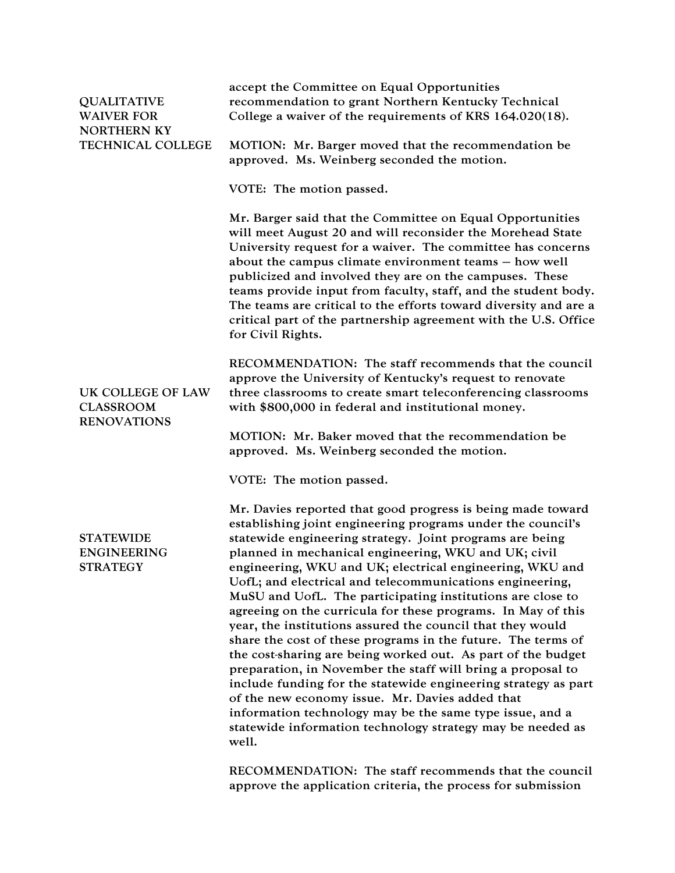| <b>QUALITATIVE</b><br><b>WAIVER FOR</b><br><b>NORTHERN KY</b> | accept the Committee on Equal Opportunities<br>recommendation to grant Northern Kentucky Technical<br>College a waiver of the requirements of KRS 164.020(18).                                                                                                                                                                                                                                                                                                                                                                                                                                                                                                                                                                                                                                                                                                                                                                                                                                                            |
|---------------------------------------------------------------|---------------------------------------------------------------------------------------------------------------------------------------------------------------------------------------------------------------------------------------------------------------------------------------------------------------------------------------------------------------------------------------------------------------------------------------------------------------------------------------------------------------------------------------------------------------------------------------------------------------------------------------------------------------------------------------------------------------------------------------------------------------------------------------------------------------------------------------------------------------------------------------------------------------------------------------------------------------------------------------------------------------------------|
| TECHNICAL COLLEGE                                             | MOTION: Mr. Barger moved that the recommendation be<br>approved. Ms. Weinberg seconded the motion.                                                                                                                                                                                                                                                                                                                                                                                                                                                                                                                                                                                                                                                                                                                                                                                                                                                                                                                        |
|                                                               | VOTE: The motion passed.                                                                                                                                                                                                                                                                                                                                                                                                                                                                                                                                                                                                                                                                                                                                                                                                                                                                                                                                                                                                  |
|                                                               | Mr. Barger said that the Committee on Equal Opportunities<br>will meet August 20 and will reconsider the Morehead State<br>University request for a waiver. The committee has concerns<br>about the campus climate environment teams - how well<br>publicized and involved they are on the campuses. These<br>teams provide input from faculty, staff, and the student body.<br>The teams are critical to the efforts toward diversity and are a<br>critical part of the partnership agreement with the U.S. Office<br>for Civil Rights.                                                                                                                                                                                                                                                                                                                                                                                                                                                                                  |
| UK COLLEGE OF LAW<br><b>CLASSROOM</b><br><b>RENOVATIONS</b>   | RECOMMENDATION: The staff recommends that the council<br>approve the University of Kentucky's request to renovate<br>three classrooms to create smart teleconferencing classrooms<br>with \$800,000 in federal and institutional money.                                                                                                                                                                                                                                                                                                                                                                                                                                                                                                                                                                                                                                                                                                                                                                                   |
|                                                               | MOTION: Mr. Baker moved that the recommendation be<br>approved. Ms. Weinberg seconded the motion.                                                                                                                                                                                                                                                                                                                                                                                                                                                                                                                                                                                                                                                                                                                                                                                                                                                                                                                         |
|                                                               | VOTE: The motion passed.                                                                                                                                                                                                                                                                                                                                                                                                                                                                                                                                                                                                                                                                                                                                                                                                                                                                                                                                                                                                  |
| <b>STATEWIDE</b><br><b>ENGINEERING</b><br><b>STRATEGY</b>     | Mr. Davies reported that good progress is being made toward<br>establishing joint engineering programs under the council's<br>statewide engineering strategy. Joint programs are being<br>planned in mechanical engineering, WKU and UK; civil<br>engineering, WKU and UK; electrical engineering, WKU and<br>UofL; and electrical and telecommunications engineering,<br>MuSU and UofL. The participating institutions are close to<br>agreeing on the curricula for these programs. In May of this<br>year, the institutions assured the council that they would<br>share the cost of these programs in the future. The terms of<br>the cost-sharing are being worked out. As part of the budget<br>preparation, in November the staff will bring a proposal to<br>include funding for the statewide engineering strategy as part<br>of the new economy issue. Mr. Davies added that<br>information technology may be the same type issue, and a<br>statewide information technology strategy may be needed as<br>well. |
|                                                               | RECOMMENDATION: The staff recommends that the council<br>approve the application criteria, the process for submission                                                                                                                                                                                                                                                                                                                                                                                                                                                                                                                                                                                                                                                                                                                                                                                                                                                                                                     |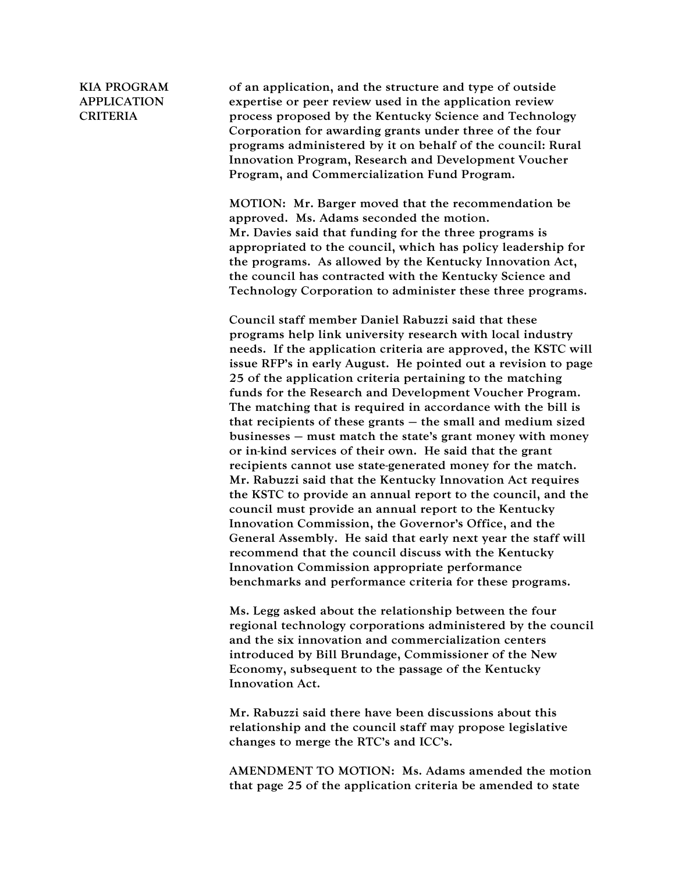## KIA PROGRAM APPLICATION CRITERIA

of an application, and the structure and type of outside expertise or peer review used in the application review process proposed by the Kentucky Science and Technology Corporation for awarding grants under three of the four programs administered by it on behalf of the council: Rural Innovation Program, Research and Development Voucher Program, and Commercialization Fund Program.

MOTION: Mr. Barger moved that the recommendation be approved. Ms. Adams seconded the motion. Mr. Davies said that funding for the three programs is appropriated to the council, which has policy leadership for the programs. As allowed by the Kentucky Innovation Act, the council has contracted with the Kentucky Science and Technology Corporation to administer these three programs.

Council staff member Daniel Rabuzzi said that these programs help link university research with local industry needs. If the application criteria are approved, the KSTC will issue RFP's in early August. He pointed out a revision to page 25 of the application criteria pertaining to the matching funds for the Research and Development Voucher Program. The matching that is required in accordance with the bill is that recipients of these grants – the small and medium sized businesses – must match the state's grant money with money or in-kind services of their own. He said that the grant recipients cannot use state-generated money for the match. Mr. Rabuzzi said that the Kentucky Innovation Act requires the KSTC to provide an annual report to the council, and the council must provide an annual report to the Kentucky Innovation Commission, the Governor's Office, and the General Assembly. He said that early next year the staff will recommend that the council discuss with the Kentucky Innovation Commission appropriate performance benchmarks and performance criteria for these programs.

Ms. Legg asked about the relationship between the four regional technology corporations administered by the council and the six innovation and commercialization centers introduced by Bill Brundage, Commissioner of the New Economy, subsequent to the passage of the Kentucky Innovation Act.

Mr. Rabuzzi said there have been discussions about this relationship and the council staff may propose legislative changes to merge the RTC's and ICC's.

AMENDMENT TO MOTION: Ms. Adams amended the motion that page 25 of the application criteria be amended to state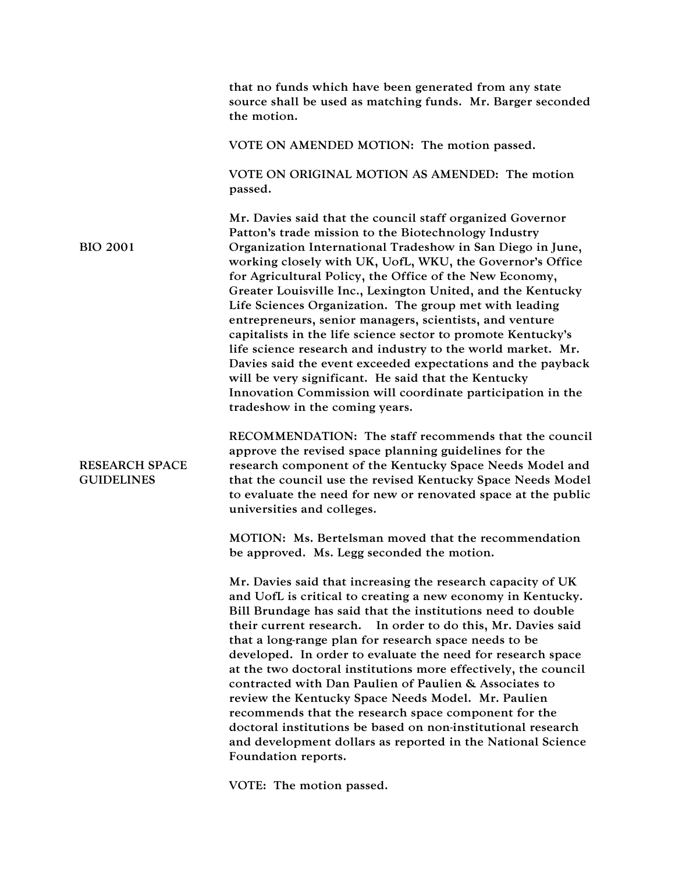|                                            | that no funds which have been generated from any state<br>source shall be used as matching funds. Mr. Barger seconded<br>the motion.                                                                                                                                                                                                                                                                                                                                                                                                                                                                                                                                                                                                                                                                                                             |
|--------------------------------------------|--------------------------------------------------------------------------------------------------------------------------------------------------------------------------------------------------------------------------------------------------------------------------------------------------------------------------------------------------------------------------------------------------------------------------------------------------------------------------------------------------------------------------------------------------------------------------------------------------------------------------------------------------------------------------------------------------------------------------------------------------------------------------------------------------------------------------------------------------|
|                                            | VOTE ON AMENDED MOTION: The motion passed.                                                                                                                                                                                                                                                                                                                                                                                                                                                                                                                                                                                                                                                                                                                                                                                                       |
|                                            | VOTE ON ORIGINAL MOTION AS AMENDED: The motion<br>passed.                                                                                                                                                                                                                                                                                                                                                                                                                                                                                                                                                                                                                                                                                                                                                                                        |
| <b>BIO 2001</b>                            | Mr. Davies said that the council staff organized Governor<br>Patton's trade mission to the Biotechnology Industry<br>Organization International Tradeshow in San Diego in June,<br>working closely with UK, UofL, WKU, the Governor's Office<br>for Agricultural Policy, the Office of the New Economy,<br>Greater Louisville Inc., Lexington United, and the Kentucky<br>Life Sciences Organization. The group met with leading<br>entrepreneurs, senior managers, scientists, and venture<br>capitalists in the life science sector to promote Kentucky's<br>life science research and industry to the world market. Mr.<br>Davies said the event exceeded expectations and the payback<br>will be very significant. He said that the Kentucky<br>Innovation Commission will coordinate participation in the<br>tradeshow in the coming years. |
| <b>RESEARCH SPACE</b><br><b>GUIDELINES</b> | RECOMMENDATION: The staff recommends that the council<br>approve the revised space planning guidelines for the<br>research component of the Kentucky Space Needs Model and<br>that the council use the revised Kentucky Space Needs Model<br>to evaluate the need for new or renovated space at the public<br>universities and colleges.                                                                                                                                                                                                                                                                                                                                                                                                                                                                                                         |
|                                            | MOTION: Ms. Bertelsman moved that the recommendation<br>be approved. Ms. Legg seconded the motion.                                                                                                                                                                                                                                                                                                                                                                                                                                                                                                                                                                                                                                                                                                                                               |
|                                            | Mr. Davies said that increasing the research capacity of UK<br>and UofL is critical to creating a new economy in Kentucky.<br>Bill Brundage has said that the institutions need to double<br>In order to do this, Mr. Davies said<br>their current research.<br>that a long-range plan for research space needs to be<br>developed. In order to evaluate the need for research space<br>at the two doctoral institutions more effectively, the council<br>contracted with Dan Paulien of Paulien & Associates to<br>review the Kentucky Space Needs Model. Mr. Paulien<br>recommends that the research space component for the<br>doctoral institutions be based on non-institutional research<br>and development dollars as reported in the National Science<br>Foundation reports.                                                             |
|                                            |                                                                                                                                                                                                                                                                                                                                                                                                                                                                                                                                                                                                                                                                                                                                                                                                                                                  |

VOTE: The motion passed.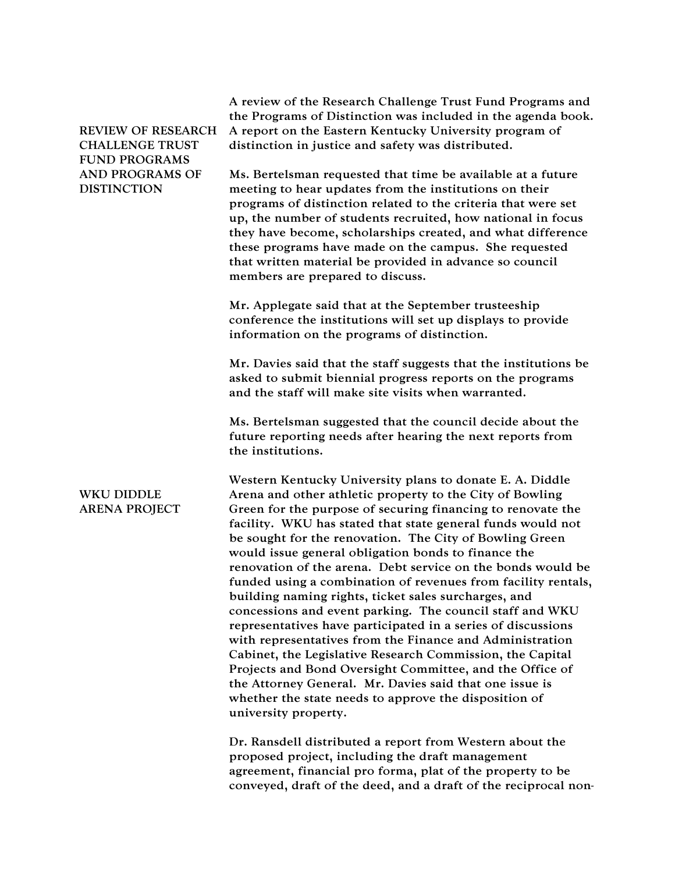| <b>REVIEW OF RESEARCH</b><br><b>CHALLENGE TRUST</b><br><b>FUND PROGRAMS</b> | A review of the Research Challenge Trust Fund Programs and<br>the Programs of Distinction was included in the agenda book.<br>A report on the Eastern Kentucky University program of<br>distinction in justice and safety was distributed.                                                                                                                                                                                                                                                                                                                                                                                                                                                                                                                                                                                                                                                                                                                                                                                |
|-----------------------------------------------------------------------------|---------------------------------------------------------------------------------------------------------------------------------------------------------------------------------------------------------------------------------------------------------------------------------------------------------------------------------------------------------------------------------------------------------------------------------------------------------------------------------------------------------------------------------------------------------------------------------------------------------------------------------------------------------------------------------------------------------------------------------------------------------------------------------------------------------------------------------------------------------------------------------------------------------------------------------------------------------------------------------------------------------------------------|
| AND PROGRAMS OF<br><b>DISTINCTION</b>                                       | Ms. Bertelsman requested that time be available at a future<br>meeting to hear updates from the institutions on their<br>programs of distinction related to the criteria that were set<br>up, the number of students recruited, how national in focus<br>they have become, scholarships created, and what difference<br>these programs have made on the campus. She requested<br>that written material be provided in advance so council<br>members are prepared to discuss.                                                                                                                                                                                                                                                                                                                                                                                                                                                                                                                                              |
|                                                                             | Mr. Applegate said that at the September trusteeship<br>conference the institutions will set up displays to provide<br>information on the programs of distinction.                                                                                                                                                                                                                                                                                                                                                                                                                                                                                                                                                                                                                                                                                                                                                                                                                                                        |
|                                                                             | Mr. Davies said that the staff suggests that the institutions be<br>asked to submit biennial progress reports on the programs<br>and the staff will make site visits when warranted.                                                                                                                                                                                                                                                                                                                                                                                                                                                                                                                                                                                                                                                                                                                                                                                                                                      |
|                                                                             | Ms. Bertelsman suggested that the council decide about the<br>future reporting needs after hearing the next reports from<br>the institutions.                                                                                                                                                                                                                                                                                                                                                                                                                                                                                                                                                                                                                                                                                                                                                                                                                                                                             |
| <b>WKU DIDDLE</b><br><b>ARENA PROJECT</b>                                   | Western Kentucky University plans to donate E. A. Diddle<br>Arena and other athletic property to the City of Bowling<br>Green for the purpose of securing financing to renovate the<br>facility. WKU has stated that state general funds would not<br>be sought for the renovation. The City of Bowling Green<br>would issue general obligation bonds to finance the<br>renovation of the arena. Debt service on the bonds would be<br>funded using a combination of revenues from facility rentals,<br>building naming rights, ticket sales surcharges, and<br>concessions and event parking. The council staff and WKU<br>representatives have participated in a series of discussions<br>with representatives from the Finance and Administration<br>Cabinet, the Legislative Research Commission, the Capital<br>Projects and Bond Oversight Committee, and the Office of<br>the Attorney General. Mr. Davies said that one issue is<br>whether the state needs to approve the disposition of<br>university property. |
|                                                                             | Dr. Ransdell distributed a report from Western about the<br>proposed project, including the draft management<br>agreement, financial pro forma, plat of the property to be                                                                                                                                                                                                                                                                                                                                                                                                                                                                                                                                                                                                                                                                                                                                                                                                                                                |

conveyed, draft of the deed, and a draft of the reciprocal non-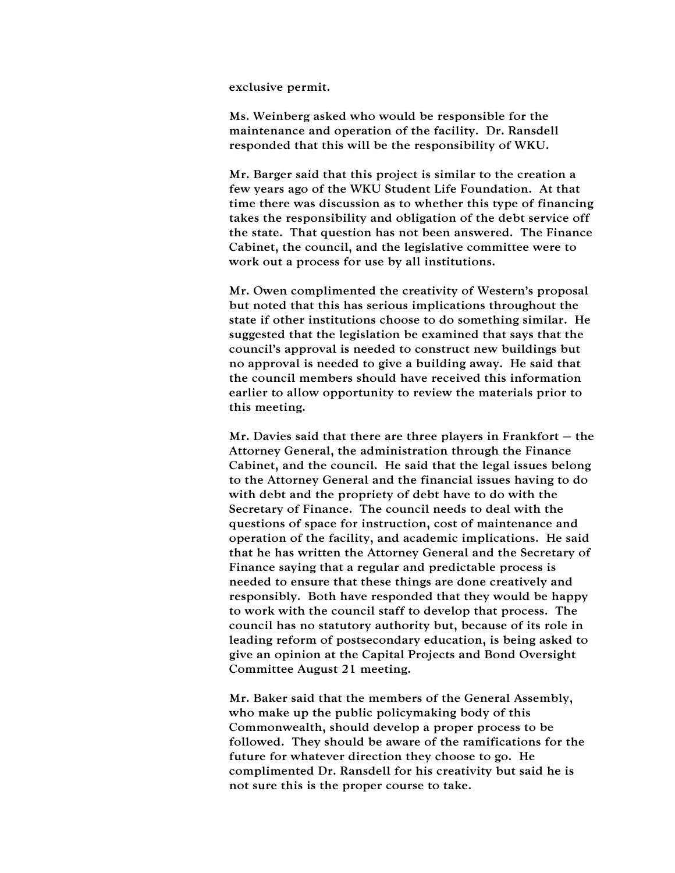exclusive permit.

Ms. Weinberg asked who would be responsible for the maintenance and operation of the facility. Dr. Ransdell responded that this will be the responsibility of WKU.

Mr. Barger said that this project is similar to the creation a few years ago of the WKU Student Life Foundation. At that time there was discussion as to whether this type of financing takes the responsibility and obligation of the debt service off the state. That question has not been answered. The Finance Cabinet, the council, and the legislative committee were to work out a process for use by all institutions.

Mr. Owen complimented the creativity of Western's proposal but noted that this has serious implications throughout the state if other institutions choose to do something similar. He suggested that the legislation be examined that says that the council's approval is needed to construct new buildings but no approval is needed to give a building away. He said that the council members should have received this information earlier to allow opportunity to review the materials prior to this meeting.

Mr. Davies said that there are three players in Frankfort  $-$  the Attorney General, the administration through the Finance Cabinet, and the council. He said that the legal issues belong to the Attorney General and the financial issues having to do with debt and the propriety of debt have to do with the Secretary of Finance. The council needs to deal with the questions of space for instruction, cost of maintenance and operation of the facility, and academic implications. He said that he has written the Attorney General and the Secretary of Finance saying that a regular and predictable process is needed to ensure that these things are done creatively and responsibly. Both have responded that they would be happy to work with the council staff to develop that process. The council has no statutory authority but, because of its role in leading reform of postsecondary education, is being asked to give an opinion at the Capital Projects and Bond Oversight Committee August 21 meeting.

Mr. Baker said that the members of the General Assembly, who make up the public policymaking body of this Commonwealth, should develop a proper process to be followed. They should be aware of the ramifications for the future for whatever direction they choose to go. He complimented Dr. Ransdell for his creativity but said he is not sure this is the proper course to take.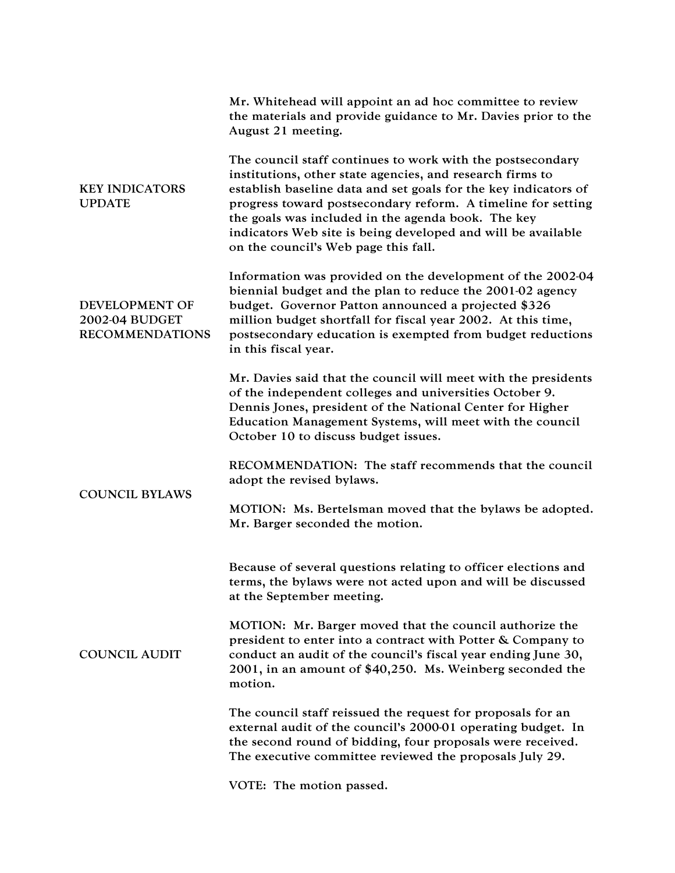|                                                            | Mr. Whitehead will appoint an ad hoc committee to review<br>the materials and provide guidance to Mr. Davies prior to the<br>August 21 meeting.                                                                                                                                                                                                                                                                          |
|------------------------------------------------------------|--------------------------------------------------------------------------------------------------------------------------------------------------------------------------------------------------------------------------------------------------------------------------------------------------------------------------------------------------------------------------------------------------------------------------|
| <b>KEY INDICATORS</b><br><b>UPDATE</b>                     | The council staff continues to work with the postsecondary<br>institutions, other state agencies, and research firms to<br>establish baseline data and set goals for the key indicators of<br>progress toward postsecondary reform. A timeline for setting<br>the goals was included in the agenda book. The key<br>indicators Web site is being developed and will be available<br>on the council's Web page this fall. |
| DEVELOPMENT OF<br>2002-04 BUDGET<br><b>RECOMMENDATIONS</b> | Information was provided on the development of the 2002-04<br>biennial budget and the plan to reduce the 2001-02 agency<br>budget. Governor Patton announced a projected \$326<br>million budget shortfall for fiscal year 2002. At this time,<br>postsecondary education is exempted from budget reductions<br>in this fiscal year.                                                                                     |
|                                                            | Mr. Davies said that the council will meet with the presidents<br>of the independent colleges and universities October 9.<br>Dennis Jones, president of the National Center for Higher<br>Education Management Systems, will meet with the council<br>October 10 to discuss budget issues.                                                                                                                               |
| <b>COUNCIL BYLAWS</b>                                      | RECOMMENDATION: The staff recommends that the council<br>adopt the revised bylaws.                                                                                                                                                                                                                                                                                                                                       |
|                                                            | MOTION: Ms. Bertelsman moved that the bylaws be adopted.<br>Mr. Barger seconded the motion.                                                                                                                                                                                                                                                                                                                              |
|                                                            | Because of several questions relating to officer elections and<br>terms, the bylaws were not acted upon and will be discussed<br>at the September meeting.                                                                                                                                                                                                                                                               |
| <b>COUNCIL AUDIT</b>                                       | MOTION: Mr. Barger moved that the council authorize the<br>president to enter into a contract with Potter & Company to<br>conduct an audit of the council's fiscal year ending June 30,<br>2001, in an amount of \$40,250. Ms. Weinberg seconded the<br>motion.                                                                                                                                                          |
|                                                            | The council staff reissued the request for proposals for an<br>external audit of the council's 2000-01 operating budget. In<br>the second round of bidding, four proposals were received.<br>The executive committee reviewed the proposals July 29.                                                                                                                                                                     |
|                                                            | VOTE: The motion passed.                                                                                                                                                                                                                                                                                                                                                                                                 |